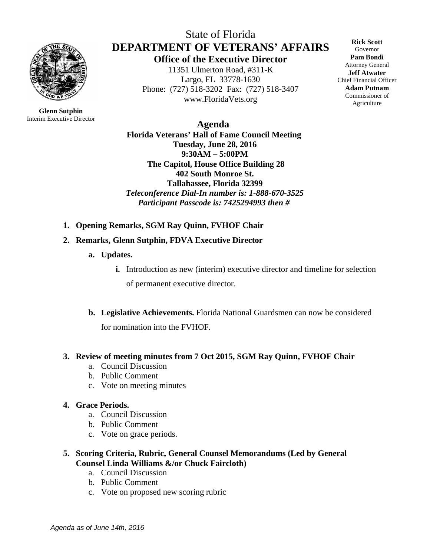

**Glenn Sutphin** Interim Executive Director

State of Florida **DEPARTMENT OF VETERANS' AFFAIRS Office of the Executive Director** 11351 Ulmerton Road, #311-K

Largo, FL 33778-1630 Phone: (727) 518-3202 Fax: (727) 518-3407 www.FloridaVets.org

**Rick Scott** Governor **Pam Bondi** Attorney General **Jeff Atwater** Chief Financial Officer **Adam Putnam** Commissioner of Agriculture

 **Agenda Florida Veterans' Hall of Fame Council Meeting Tuesday, June 28, 2016 9:30AM – 5:00PM The Capitol, House Office Building 28 402 South Monroe St. Tallahassee, Florida 32399** *Teleconference Dial-In number is: 1-888-670-3525 Participant Passcode is: 7425294993 then #*

**1. Opening Remarks, SGM Ray Quinn, FVHOF Chair**

#### **2. Remarks, Glenn Sutphin, FDVA Executive Director**

- **a. Updates.** 
	- **i.** Introduction as new (interim) executive director and timeline for selection

of permanent executive director.

**b. Legislative Achievements.** Florida National Guardsmen can now be considered for nomination into the FVHOF.

#### **3. Review of meeting minutes from 7 Oct 2015, SGM Ray Quinn, FVHOF Chair**

- a. Council Discussion
- b. Public Comment
- c. Vote on meeting minutes

#### **4. Grace Periods.**

- a. Council Discussion
- b. Public Comment
- c. Vote on grace periods.

# **5. Scoring Criteria, Rubric, General Counsel Memorandums (Led by General Counsel Linda Williams &/or Chuck Faircloth)**

- a. Council Discussion
- b. Public Comment
- c. Vote on proposed new scoring rubric